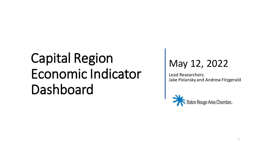#### May 12, 2022

Lead Researchers: Jake Polansky and Andrew Fitzgerald

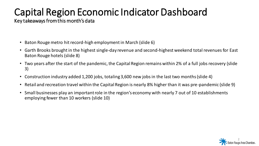Key takeaways from this month's data

- Baton Rouge metro hit record-high employment in March (slide 6)
- Garth Brooks brought in the highest single-day revenue and second-highest weekend total revenues for East Baton Rouge hotels (slide 8)
- Two years after the start of the pandemic, the Capital Region remains within 2% of a full jobs recovery (slide 3)
- Construction industry added 1,200 jobs, totaling 3,600 new jobs in the last two months (slide 4)
- Retail and recreation travel within the Capital Region is nearly 8% higher than it was pre-pandemic (slide 9)
- Small businesses play an important role in the region's economy with nearly 7 out of 10 establishments employing fewer than 10 workers (slide 10)

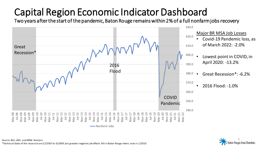Two years after the start of the pandemic, Baton Rouge remains within 2% of a full nonfarm jobs recovery



3

Source: BLS; LWC; and BRAC Analysis \*Technical dates of the recession are 12/2007 to 6/2009, but greatest negative job effects felt in Baton Rouge metro area in 1/2010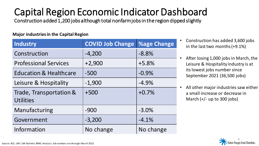Construction added 1,200 jobs although total nonfarm jobs in the region dipped slightly

#### **Major industries in the Capital Region**

| <b>Industry</b>                             | <b>COVID Job Change</b> | <b>%age Change</b> |
|---------------------------------------------|-------------------------|--------------------|
| Construction                                | $-4,200$                | $-8.8%$            |
| <b>Professional Services</b>                | $+2,900$                | $+5.8%$            |
| <b>Education &amp; Healthcare</b>           | $-500$                  | $-0.9%$            |
| Leisure & Hospitality                       | $-1,900$                | $-4.9%$            |
| Trade, Transportation &<br><b>Utilities</b> | $+500$                  | $+0.7%$            |
| Manufacturing                               | $-900$                  | $-3.0%$            |
| Government                                  | $-3,200$                | $-4.1%$            |
| Information                                 | No change               | No change          |

- Construction has added 3,600 jobs in the last two months (+9.1%)
- After losing 1,000 jobs in March, the Leisure & Hospitality industry is at its lowest jobs number since September 2021 (36,500 jobs)
- All other major industries saw either a small increase or decrease in March  $(+/-$  up to 300 jobs)

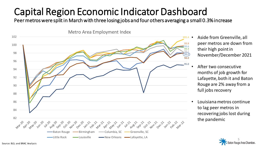Peer metros were split in March with three losing jobs and four others averaging a small 0.3% increase



- Aside from Greenville, all peer metros are down from their high point in November/December 2021
- After two consecutive months of job growth for Lafayette, both it and Baton Rouge are 2% away from a full jobs recovery
- Louisiana metros continue to lag peer metros in recovering jobs lost during the pandemic

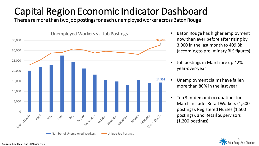There are more than two job postings for each unemployed worker across Baton Rouge



- Baton Rouge has higher employment now than ever before after rising by 3,000 in the last month to 409.8k (according to preliminary BLS figures)
- Job postings in March are up 42% year-over-year
- Unemployment claims have fallen more than 80% in the last year
- Top 3 in-demand occupations for March include: Retail Workers (1,500 postings), Registered Nurses (1,500 postings), and Retail Supervisors (1,200 postings)

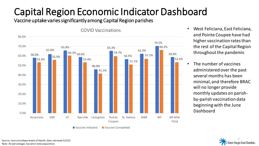Vaccine uptake varies significantly among Capital Region parishes



- West Feliciana, East Feliciana, and Pointe Coupee have had higher vaccination rates than the rest of the Capital Region throughout the pandemic
- The number of vaccines administered over the past several months has been minimal, and therefore BRAC will no longer provide monthly updates on parishby-parish vaccination data beginning with the June Dashboard

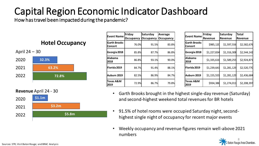How has travel been impacted during the pandemic?

#### **Hotel Occupancy**



**Revenue** April 24 - 30



| <b>Event Name</b>              | Friday<br>Occupancy | Saturday<br>Occupancy | Average<br><b>Occupancy</b> |
|--------------------------------|---------------------|-----------------------|-----------------------------|
| <b>Garth Brooks</b><br>Concert | 76.0%               | 91.5%                 | 83.8%                       |
| Georgia 2018                   | 85.8%               | 87.7%                 | 86.8%                       |
| Alabama<br>2018                | 86.8%               | 93.1%                 | 90.0%                       |
| Florida 2019                   | 84.7%               | 91.4%                 | 88.1%                       |
| Auburn 2019                    | 82.5%               | 86.9%                 | 84.7%                       |
| Texas A&M<br>2019              | 72.9%               | 86.7%                 | 79.8%                       |

| <b>Event Name</b>              | Friday<br>Revenue | Saturday<br>Revenue | <b>Total</b><br>Revenue |
|--------------------------------|-------------------|---------------------|-------------------------|
| <b>Garth Brooks</b><br>Concert | \$985,120         | \$1,597,556         | \$2,582,676             |
| Georgia 2018                   | \$1,227,834       | \$1,316,308         | \$2,544,142             |
| Alabama<br>2018                | \$1,335,616       | \$1,589,255         | \$2,924,871             |
| Florida 2019                   | \$1,239,641       | \$1,281,129         | \$2,520,770             |
| Auburn 2019                    | \$1,155,555       | \$1,281,129         | \$2,436,684             |
| <b>Texas A&amp;M</b><br>2019   | \$934,386         | \$1,274,011         | \$2,208,397             |

- Garth Brooks brought in the highest single-day revenue (Saturday) and second-highest weekend total revenues for BR hotels
- 91.5% of hotel rooms were occupied Saturday night, secondhighest single night of occupancy for recent major events
- Weekly occupancy and revenue figures remain well-above 2021 numbers

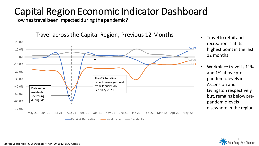How has travel been impacted during the pandemic?



Travel across the Capital Region, Previous 12 Months

- Travel to retail and recreation is at its highest point in the last 12 months
- Workplace travel is 11% and 1% above prepandemic levels in Ascension and Livingston respectively but, remains below prepandemic levels elsewhere in the region